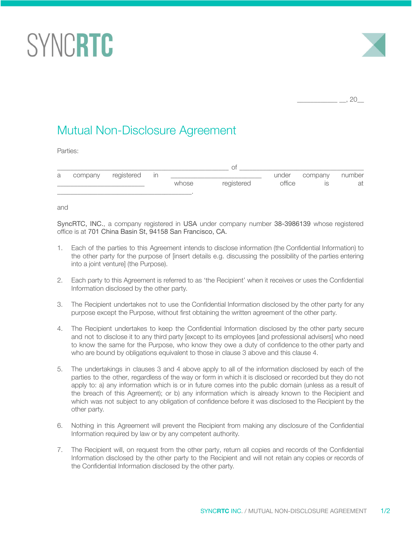## SYNCRTC



 $, 20$ 

## Mutual Non-Disclosure Agreement

Parties:

| a | company | registered | In |       |            | under  | company | number |
|---|---------|------------|----|-------|------------|--------|---------|--------|
|   |         |            |    | whose | registered | office |         | at     |
|   |         |            |    |       |            |        |         |        |

and

SyncRTC, INC., a company registered in USA under company number 38-3986139 whose registered office is at 701 China Basin St, 94158 San Francisco, CA.

- 1. Each of the parties to this Agreement intends to disclose information (the Confidential Information) to the other party for the purpose of [insert details e.g. discussing the possibility of the parties entering into a joint venture] (the Purpose).
- 2. Each party to this Agreement is referred to as 'the Recipient' when it receives or uses the Confidential Information disclosed by the other party.
- 3. The Recipient undertakes not to use the Confidential Information disclosed by the other party for any purpose except the Purpose, without first obtaining the written agreement of the other party.
- 4. The Recipient undertakes to keep the Confidential Information disclosed by the other party secure and not to disclose it to any third party [except to its employees [and professional advisers] who need to know the same for the Purpose, who know they owe a duty of confidence to the other party and who are bound by obligations equivalent to those in clause 3 above and this clause 4.
- 5. The undertakings in clauses 3 and 4 above apply to all of the information disclosed by each of the parties to the other, regardless of the way or form in which it is disclosed or recorded but they do not apply to: a) any information which is or in future comes into the public domain (unless as a result of the breach of this Agreement); or b) any information which is already known to the Recipient and which was not subject to any obligation of confidence before it was disclosed to the Recipient by the other party.
- 6. Nothing in this Agreement will prevent the Recipient from making any disclosure of the Confidential Information required by law or by any competent authority.
- 7. The Recipient will, on request from the other party, return all copies and records of the Confidential Information disclosed by the other party to the Recipient and will not retain any copies or records of the Confidential Information disclosed by the other party.